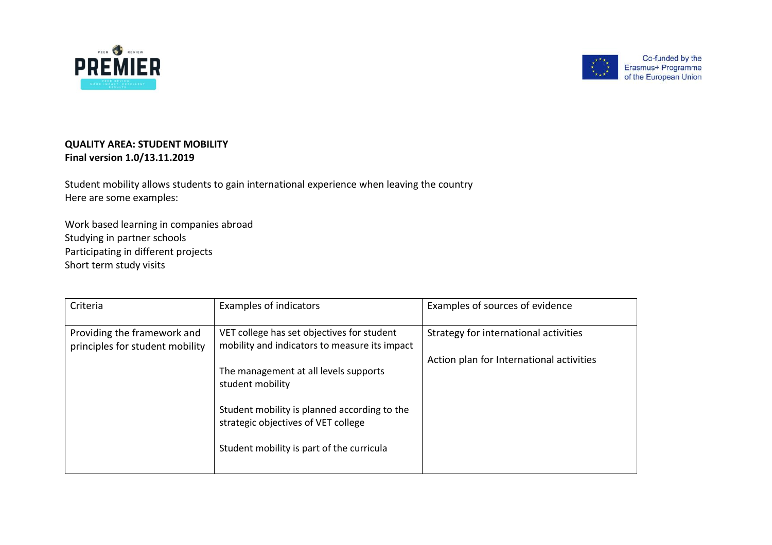



## **QUALITY AREA: STUDENT MOBILITY Final version 1.0/13.11.2019**

Student mobility allows students to gain international experience when leaving the country Here are some examples:

Work based learning in companies abroad Studying in partner schools Participating in different projects Short term study visits

| Criteria                                                       | Examples of indicators                                                                                                                                                                        | Examples of sources of evidence          |
|----------------------------------------------------------------|-----------------------------------------------------------------------------------------------------------------------------------------------------------------------------------------------|------------------------------------------|
| Providing the framework and<br>principles for student mobility | VET college has set objectives for student<br>mobility and indicators to measure its impact                                                                                                   | Strategy for international activities    |
|                                                                | The management at all levels supports<br>student mobility<br>Student mobility is planned according to the<br>strategic objectives of VET college<br>Student mobility is part of the curricula | Action plan for International activities |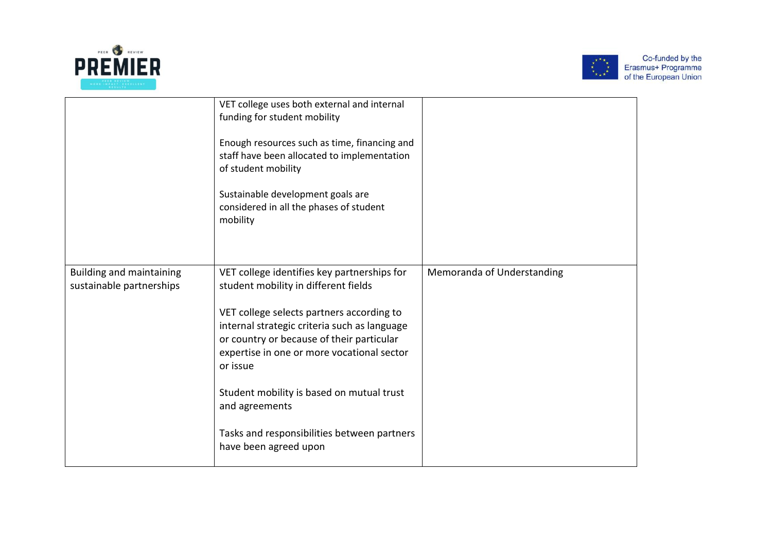



|                                                             | VET college uses both external and internal<br>funding for student mobility<br>Enough resources such as time, financing and<br>staff have been allocated to implementation<br>of student mobility<br>Sustainable development goals are<br>considered in all the phases of student<br>mobility |                            |
|-------------------------------------------------------------|-----------------------------------------------------------------------------------------------------------------------------------------------------------------------------------------------------------------------------------------------------------------------------------------------|----------------------------|
| <b>Building and maintaining</b><br>sustainable partnerships | VET college identifies key partnerships for<br>student mobility in different fields                                                                                                                                                                                                           | Memoranda of Understanding |
|                                                             | VET college selects partners according to<br>internal strategic criteria such as language<br>or country or because of their particular<br>expertise in one or more vocational sector<br>or issue                                                                                              |                            |
|                                                             | Student mobility is based on mutual trust<br>and agreements                                                                                                                                                                                                                                   |                            |
|                                                             | Tasks and responsibilities between partners<br>have been agreed upon                                                                                                                                                                                                                          |                            |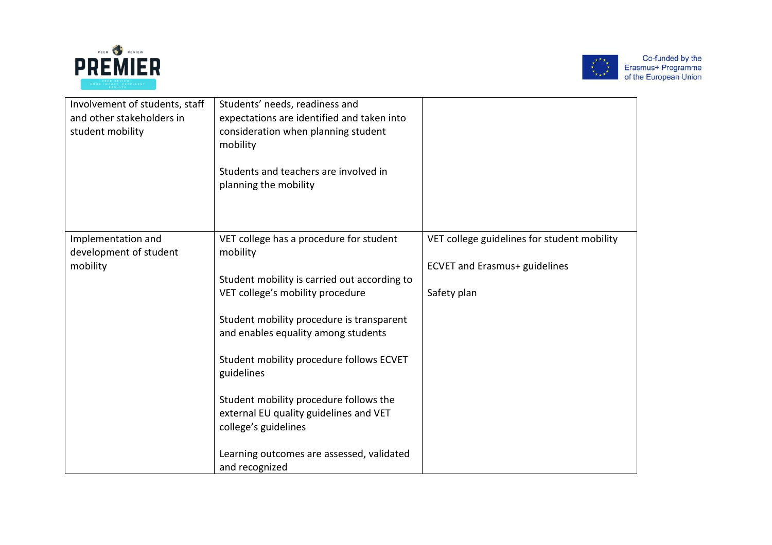



| Involvement of students, staff<br>and other stakeholders in<br>student mobility | Students' needs, readiness and<br>expectations are identified and taken into<br>consideration when planning student<br>mobility<br>Students and teachers are involved in<br>planning the mobility                                                                                                                                                                                                                                                                |                                                                                                    |
|---------------------------------------------------------------------------------|------------------------------------------------------------------------------------------------------------------------------------------------------------------------------------------------------------------------------------------------------------------------------------------------------------------------------------------------------------------------------------------------------------------------------------------------------------------|----------------------------------------------------------------------------------------------------|
| Implementation and<br>development of student<br>mobility                        | VET college has a procedure for student<br>mobility<br>Student mobility is carried out according to<br>VET college's mobility procedure<br>Student mobility procedure is transparent<br>and enables equality among students<br>Student mobility procedure follows ECVET<br>guidelines<br>Student mobility procedure follows the<br>external EU quality guidelines and VET<br>college's guidelines<br>Learning outcomes are assessed, validated<br>and recognized | VET college guidelines for student mobility<br><b>ECVET and Erasmus+ guidelines</b><br>Safety plan |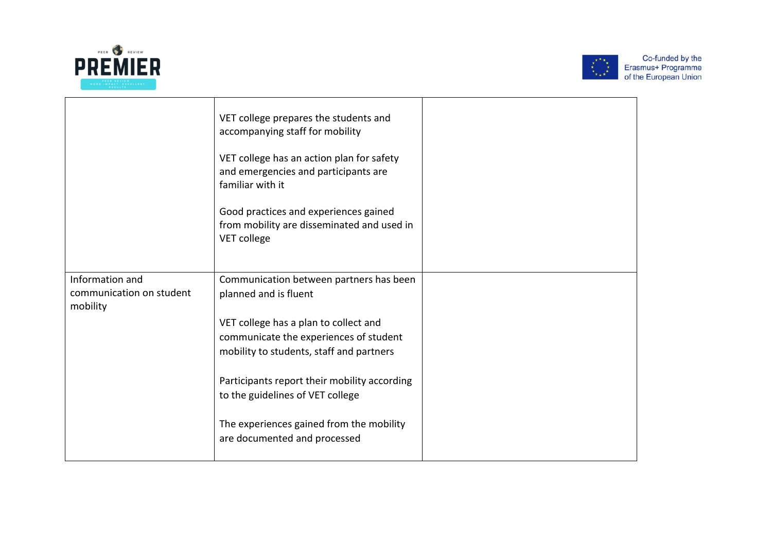



|                                                         | VET college prepares the students and<br>accompanying staff for mobility<br>VET college has an action plan for safety<br>and emergencies and participants are<br>familiar with it<br>Good practices and experiences gained<br>from mobility are disseminated and used in<br>VET college |  |
|---------------------------------------------------------|-----------------------------------------------------------------------------------------------------------------------------------------------------------------------------------------------------------------------------------------------------------------------------------------|--|
| Information and<br>communication on student<br>mobility | Communication between partners has been<br>planned and is fluent<br>VET college has a plan to collect and                                                                                                                                                                               |  |
|                                                         | communicate the experiences of student<br>mobility to students, staff and partners                                                                                                                                                                                                      |  |
|                                                         | Participants report their mobility according<br>to the guidelines of VET college                                                                                                                                                                                                        |  |
|                                                         | The experiences gained from the mobility<br>are documented and processed                                                                                                                                                                                                                |  |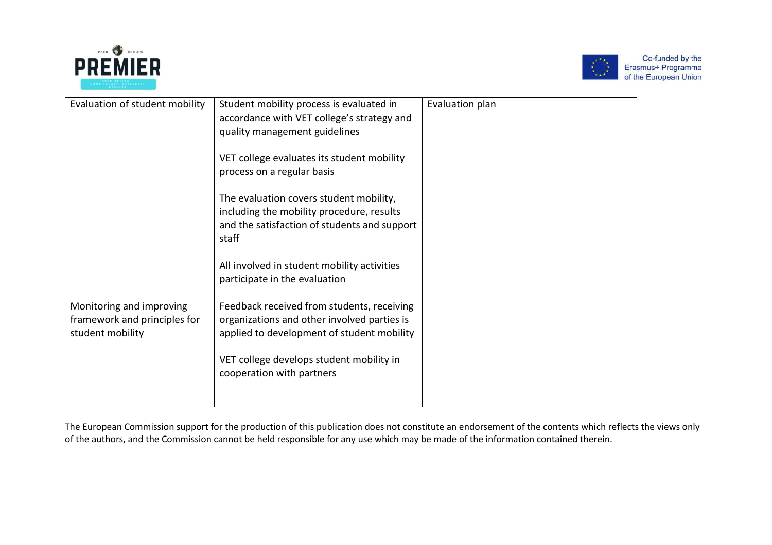



| Evaluation of student mobility                                               | Student mobility process is evaluated in<br>accordance with VET college's strategy and<br>quality management guidelines                       | Evaluation plan |
|------------------------------------------------------------------------------|-----------------------------------------------------------------------------------------------------------------------------------------------|-----------------|
|                                                                              | VET college evaluates its student mobility<br>process on a regular basis                                                                      |                 |
|                                                                              | The evaluation covers student mobility,<br>including the mobility procedure, results<br>and the satisfaction of students and support<br>staff |                 |
|                                                                              | All involved in student mobility activities<br>participate in the evaluation                                                                  |                 |
| Monitoring and improving<br>framework and principles for<br>student mobility | Feedback received from students, receiving<br>organizations and other involved parties is<br>applied to development of student mobility       |                 |
|                                                                              | VET college develops student mobility in<br>cooperation with partners                                                                         |                 |

The European Commission support for the production of this publication does not constitute an endorsement of the contents which reflects the views only of the authors, and the Commission cannot be held responsible for any use which may be made of the information contained therein.